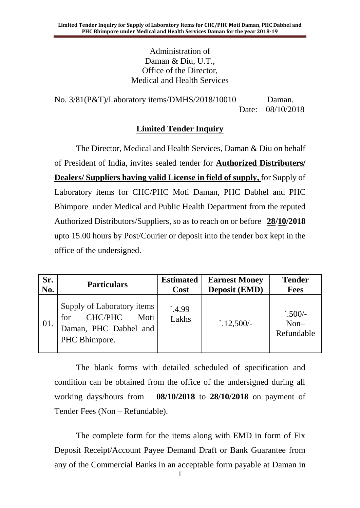Administration of Daman & Diu, U.T., Office of the Director, Medical and Health Services

No. 3/81(P&T)/Laboratory items/DMHS/2018/10010 Daman. Date: 08/10/2018

#### **Limited Tender Inquiry**

The Director, Medical and Health Services, Daman & Diu on behalf of President of India, invites sealed tender for **Authorized Distributers/ Dealers/ Suppliers having valid License in field of supply,** for Supply of Laboratory items for CHC/PHC Moti Daman, PHC Dabhel and PHC Bhimpore under Medical and Public Health Department from the reputed Authorized Distributors/Suppliers, so as to reach on or before **28/10/2018** upto 15.00 hours by Post/Courier or deposit into the tender box kept in the office of the undersigned.

| Sr. | <b>Particulars</b>                                                                                    | <b>Estimated</b>        | <b>Earnest Money</b> | <b>Tender</b>                          |
|-----|-------------------------------------------------------------------------------------------------------|-------------------------|----------------------|----------------------------------------|
| No. |                                                                                                       | Cost                    | <b>Deposit (EMD)</b> | <b>Fees</b>                            |
| 01. | Supply of Laboratory items<br><b>CHC/PHC</b><br>Moti<br>for<br>Daman, PHC Dabhel and<br>PHC Bhimpore. | $^{\circ}4.99$<br>Lakhs | $\cdot$ .12,500/-    | $\cdot$ .500/-<br>$Non-$<br>Refundable |

The blank forms with detailed scheduled of specification and condition can be obtained from the office of the undersigned during all working days/hours from **08/10/2018** to **28/10/2018** on payment of Tender Fees (Non – Refundable).

The complete form for the items along with EMD in form of Fix Deposit Receipt/Account Payee Demand Draft or Bank Guarantee from any of the Commercial Banks in an acceptable form payable at Daman in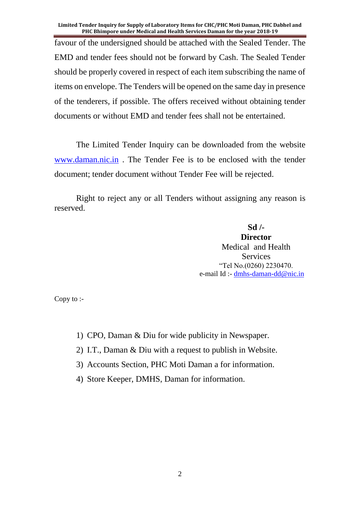favour of the undersigned should be attached with the Sealed Tender. The EMD and tender fees should not be forward by Cash. The Sealed Tender should be properly covered in respect of each item subscribing the name of items on envelope. The Tenders will be opened on the same day in presence of the tenderers, if possible. The offers received without obtaining tender documents or without EMD and tender fees shall not be entertained.

The Limited Tender Inquiry can be downloaded from the website [www.daman.nic.in](http://www.daman.nic.in/) . The Tender Fee is to be enclosed with the tender document; tender document without Tender Fee will be rejected.

Right to reject any or all Tenders without assigning any reason is reserved.

> **Sd /- Director** Medical and Health Services "Tel No.(0260) 2230470. e-mail Id :- [dmhs-daman-dd@nic.in](mailto:dmhs-daman-dd@nic.in)

Copy to :-

- 1) CPO, Daman & Diu for wide publicity in Newspaper.
- 2) I.T., Daman & Diu with a request to publish in Website.
- 3) Accounts Section, PHC Moti Daman a for information.
- 4) Store Keeper, DMHS, Daman for information.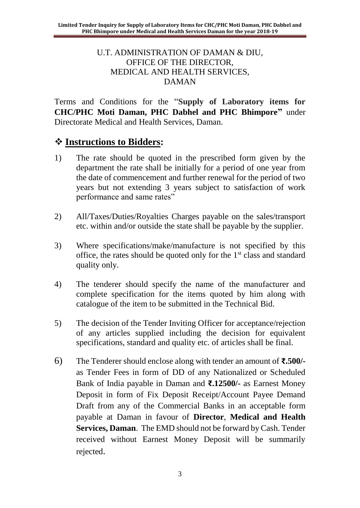#### U.T. ADMINISTRATION OF DAMAN & DIU, OFFICE OF THE DIRECTOR, MEDICAL AND HEALTH SERVICES, DAMAN

Terms and Conditions for the "**Supply of Laboratory items for CHC/PHC Moti Daman, PHC Dabhel and PHC Bhimpore"** under Directorate Medical and Health Services, Daman.

# ❖ **Instructions to Bidders:**

- 1) The rate should be quoted in the prescribed form given by the department the rate shall be initially for a period of one year from the date of commencement and further renewal for the period of two years but not extending 3 years subject to satisfaction of work performance and same rates"
- 2) All/Taxes/Duties/Royalties Charges payable on the sales/transport etc. within and/or outside the state shall be payable by the supplier.
- 3) Where specifications/make/manufacture is not specified by this office, the rates should be quoted only for the  $1<sup>st</sup>$  class and standard quality only.
- 4) The tenderer should specify the name of the manufacturer and complete specification for the items quoted by him along with catalogue of the item to be submitted in the Technical Bid.
- 5) The decision of the Tender Inviting Officer for acceptance/rejection of any articles supplied including the decision for equivalent specifications, standard and quality etc. of articles shall be final.
- 6) The Tenderer should enclose along with tender an amount of **₹.500/** as Tender Fees in form of DD of any Nationalized or Scheduled Bank of India payable in Daman and **₹.12500/-** as Earnest Money Deposit in form of Fix Deposit Receipt/Account Payee Demand Draft from any of the Commercial Banks in an acceptable form payable at Daman in favour of **Director**, **Medical and Health Services, Daman**. The EMD should not be forward by Cash. Tender received without Earnest Money Deposit will be summarily rejected.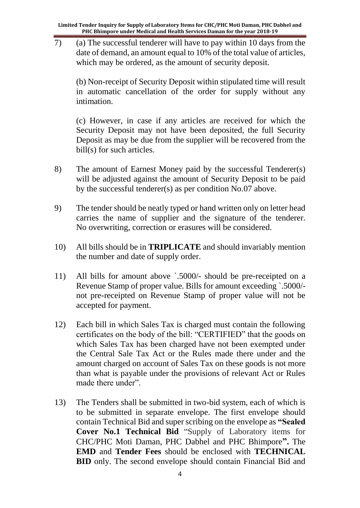7) (a) The successful tenderer will have to pay within 10 days from the date of demand, an amount equal to 10% of the total value of articles, which may be ordered, as the amount of security deposit.

(b) Non-receipt of Security Deposit within stipulated time will result in automatic cancellation of the order for supply without any intimation.

(c) However, in case if any articles are received for which the Security Deposit may not have been deposited, the full Security Deposit as may be due from the supplier will be recovered from the bill(s) for such articles.

- 8) The amount of Earnest Money paid by the successful Tenderer(s) will be adjusted against the amount of Security Deposit to be paid by the successful tenderer(s) as per condition No.07 above.
- 9) The tender should be neatly typed or hand written only on letter head carries the name of supplier and the signature of the tenderer. No overwriting, correction or erasures will be considered.
- 10) All bills should be in **TRIPLICATE** and should invariably mention the number and date of supply order.
- 11) All bills for amount above `.5000/- should be pre-receipted on a Revenue Stamp of proper value. Bills for amount exceeding `.5000/ not pre-receipted on Revenue Stamp of proper value will not be accepted for payment.
- 12) Each bill in which Sales Tax is charged must contain the following certificates on the body of the bill: "CERTIFIED" that the goods on which Sales Tax has been charged have not been exempted under the Central Sale Tax Act or the Rules made there under and the amount charged on account of Sales Tax on these goods is not more than what is payable under the provisions of relevant Act or Rules made there under".
- 13) The Tenders shall be submitted in two-bid system, each of which is to be submitted in separate envelope. The first envelope should contain Technical Bid and super scribing on the envelope as **"Sealed Cover No.1 Technical Bid** "Supply of Laboratory items for CHC/PHC Moti Daman, PHC Dabhel and PHC Bhimpore**".** The **EMD** and **Tender Fees** should be enclosed with **TECHNICAL BID** only. The second envelope should contain Financial Bid and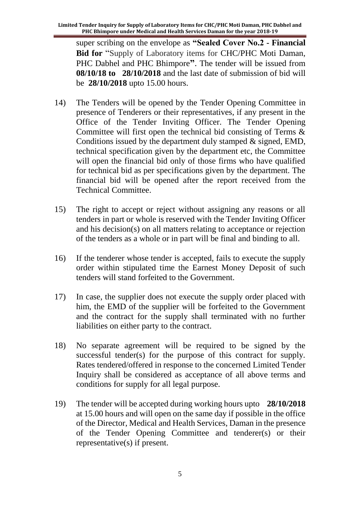super scribing on the envelope as **"Sealed Cover No.2 - Financial Bid for** "Supply of Laboratory items for CHC/PHC Moti Daman, PHC Dabhel and PHC Bhimpore**"**. The tender will be issued from **08/10/18 to 28/10/2018** and the last date of submission of bid will be **28/10/2018** upto 15.00 hours.

- 14) The Tenders will be opened by the Tender Opening Committee in presence of Tenderers or their representatives, if any present in the Office of the Tender Inviting Officer. The Tender Opening Committee will first open the technical bid consisting of Terms & Conditions issued by the department duly stamped & signed, EMD, technical specification given by the department etc, the Committee will open the financial bid only of those firms who have qualified for technical bid as per specifications given by the department. The financial bid will be opened after the report received from the Technical Committee.
- 15) The right to accept or reject without assigning any reasons or all tenders in part or whole is reserved with the Tender Inviting Officer and his decision(s) on all matters relating to acceptance or rejection of the tenders as a whole or in part will be final and binding to all.
- 16) If the tenderer whose tender is accepted, fails to execute the supply order within stipulated time the Earnest Money Deposit of such tenders will stand forfeited to the Government.
- 17) In case, the supplier does not execute the supply order placed with him, the EMD of the supplier will be forfeited to the Government and the contract for the supply shall terminated with no further liabilities on either party to the contract.
- 18) No separate agreement will be required to be signed by the successful tender(s) for the purpose of this contract for supply. Rates tendered/offered in response to the concerned Limited Tender Inquiry shall be considered as acceptance of all above terms and conditions for supply for all legal purpose.
- 19) The tender will be accepted during working hours upto **28/10/2018** at 15.00 hours and will open on the same day if possible in the office of the Director, Medical and Health Services, Daman in the presence of the Tender Opening Committee and tenderer(s) or their representative(s) if present.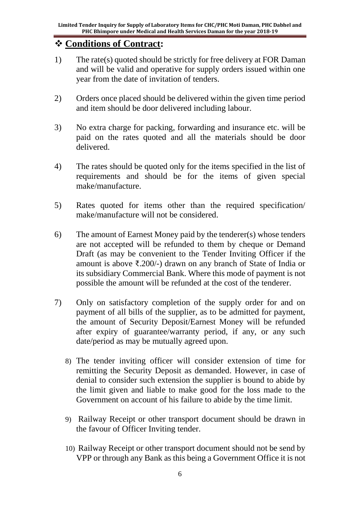# ❖ **Conditions of Contract:**

- 1) The rate(s) quoted should be strictly for free delivery at FOR Daman and will be valid and operative for supply orders issued within one year from the date of invitation of tenders.
- 2) Orders once placed should be delivered within the given time period and item should be door delivered including labour.
- 3) No extra charge for packing, forwarding and insurance etc. will be paid on the rates quoted and all the materials should be door delivered.
- 4) The rates should be quoted only for the items specified in the list of requirements and should be for the items of given special make/manufacture.
- 5) Rates quoted for items other than the required specification/ make/manufacture will not be considered.
- 6) The amount of Earnest Money paid by the tenderer(s) whose tenders are not accepted will be refunded to them by cheque or Demand Draft (as may be convenient to the Tender Inviting Officer if the amount is above ₹.200/-) drawn on any branch of State of India or its subsidiary Commercial Bank. Where this mode of payment is not possible the amount will be refunded at the cost of the tenderer.
- 7) Only on satisfactory completion of the supply order for and on payment of all bills of the supplier, as to be admitted for payment, the amount of Security Deposit/Earnest Money will be refunded after expiry of guarantee/warranty period, if any, or any such date/period as may be mutually agreed upon.
	- 8) The tender inviting officer will consider extension of time for remitting the Security Deposit as demanded. However, in case of denial to consider such extension the supplier is bound to abide by the limit given and liable to make good for the loss made to the Government on account of his failure to abide by the time limit.
	- 9) Railway Receipt or other transport document should be drawn in the favour of Officer Inviting tender.
	- 10) Railway Receipt or other transport document should not be send by VPP or through any Bank as this being a Government Office it is not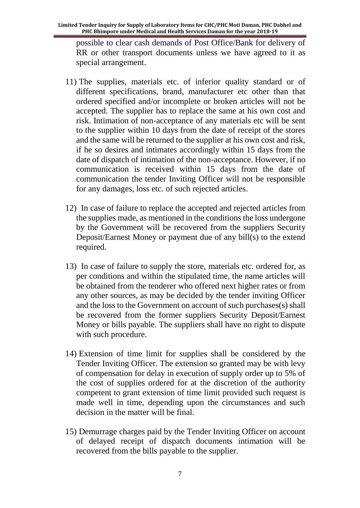possible to clear cash demands of Post Office/Bank for delivery of RR or other transport documents unless we have agreed to it as special arrangement.

- 11) The supplies, materials etc. of inferior quality standard or of different specifications, brand, manufacturer etc other than that ordered specified and/or incomplete or broken articles will not be accepted. The supplier has to replace the same at his own cost and risk. Intimation of non-acceptance of any materials etc will be sent to the supplier within 10 days from the date of receipt of the stores and the same will be returned to the supplier at his own cost and risk, if he so desires and intimates accordingly within 15 days from the date of dispatch of intimation of the non-acceptance. However, if no communication is received within 15 days from the date of communication the tender Inviting Officer will not be responsible for any damages, loss etc. of such rejected articles.
- 12) In case of failure to replace the accepted and rejected articles from the supplies made, as mentioned in the conditions the loss undergone by the Government will be recovered from the suppliers Security Deposit/Earnest Money or payment due of any bill(s) to the extend required.
- 13) In case of failure to supply the store, materials etc. ordered for, as per conditions and within the stipulated time, the name articles will be obtained from the tenderer who offered next higher rates or from any other sources, as may be decided by the tender inviting Officer and the loss to the Government on account of such purchases(s) shall be recovered from the former suppliers Security Deposit/Earnest Money or bills payable. The suppliers shall have no right to dispute with such procedure.
- 14) Extension of time limit for supplies shall be considered by the Tender Inviting Officer. The extension so granted may be with levy of compensation for delay in execution of supply order up to 5% of the cost of supplies ordered for at the discretion of the authority competent to grant extension of time limit provided such request is made well in time, depending upon the circumstances and such decision in the matter will be final.
- 15) Demurrage charges paid by the Tender Inviting Officer on account of delayed receipt of dispatch documents intimation will be recovered from the bills payable to the supplier.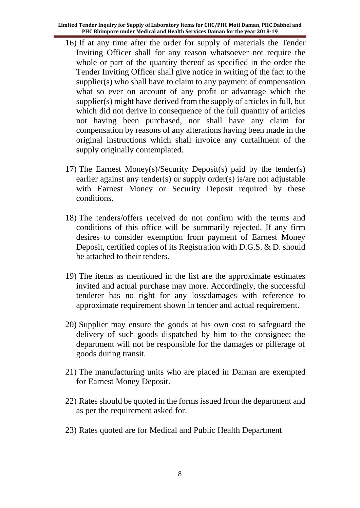- 16) If at any time after the order for supply of materials the Tender Inviting Officer shall for any reason whatsoever not require the whole or part of the quantity thereof as specified in the order the Tender Inviting Officer shall give notice in writing of the fact to the supplier(s) who shall have to claim to any payment of compensation what so ever on account of any profit or advantage which the supplier(s) might have derived from the supply of articles in full, but which did not derive in consequence of the full quantity of articles not having been purchased, nor shall have any claim for compensation by reasons of any alterations having been made in the original instructions which shall invoice any curtailment of the supply originally contemplated.
- 17) The Earnest Money(s)/Security Deposit(s) paid by the tender(s) earlier against any tender(s) or supply order(s) is/are not adjustable with Earnest Money or Security Deposit required by these conditions.
- 18) The tenders/offers received do not confirm with the terms and conditions of this office will be summarily rejected. If any firm desires to consider exemption from payment of Earnest Money Deposit, certified copies of its Registration with D.G.S. & D. should be attached to their tenders.
- 19) The items as mentioned in the list are the approximate estimates invited and actual purchase may more. Accordingly, the successful tenderer has no right for any loss/damages with reference to approximate requirement shown in tender and actual requirement.
- 20) Supplier may ensure the goods at his own cost to safeguard the delivery of such goods dispatched by him to the consignee; the department will not be responsible for the damages or pilferage of goods during transit.
- 21) The manufacturing units who are placed in Daman are exempted for Earnest Money Deposit.
- 22) Rates should be quoted in the forms issued from the department and as per the requirement asked for.
- 23) Rates quoted are for Medical and Public Health Department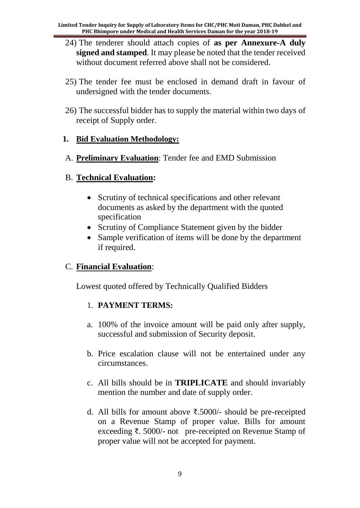- 24) The tenderer should attach copies of **as per Annexure-A duly signed and stamped**. It may please be noted that the tender received without document referred above shall not be considered.
- 25) The tender fee must be enclosed in demand draft in favour of undersigned with the tender documents.
- 26) The successful bidder has to supply the material within two days of receipt of Supply order.

#### **1. Bid Evaluation Methodology:**

A. **Preliminary Evaluation**: Tender fee and EMD Submission

#### B. **Technical Evaluation:**

- Scrutiny of technical specifications and other relevant documents as asked by the department with the quoted specification
- Scrutiny of Compliance Statement given by the bidder
- Sample verification of items will be done by the department if required.

### C. **Financial Evaluation**:

Lowest quoted offered by Technically Qualified Bidders

### 1. **PAYMENT TERMS:**

- a. 100% of the invoice amount will be paid only after supply, successful and submission of Security deposit.
- b. Price escalation clause will not be entertained under any circumstances.
- c. All bills should be in **TRIPLICATE** and should invariably mention the number and date of supply order.
- d. All bills for amount above ₹.5000/- should be pre-receipted on a Revenue Stamp of proper value. Bills for amount exceeding ₹. 5000/- not pre-receipted on Revenue Stamp of proper value will not be accepted for payment.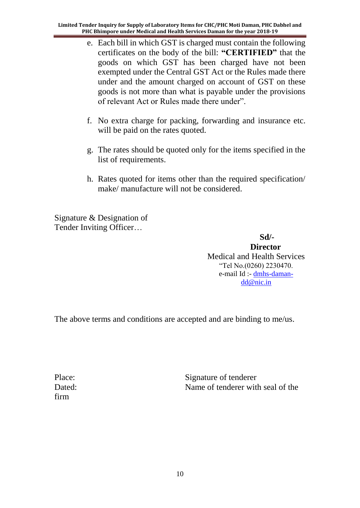- e. Each bill in which GST is charged must contain the following certificates on the body of the bill: **"CERTIFIED"** that the goods on which GST has been charged have not been exempted under the Central GST Act or the Rules made there under and the amount charged on account of GST on these goods is not more than what is payable under the provisions of relevant Act or Rules made there under".
- f. No extra charge for packing, forwarding and insurance etc. will be paid on the rates quoted.
- g. The rates should be quoted only for the items specified in the list of requirements.
- h. Rates quoted for items other than the required specification/ make/ manufacture will not be considered.

Signature & Designation of Tender Inviting Officer…

 **Sd/- Director** Medical and Health Services "Tel No.(0260) 2230470. e-mail Id :- [dmhs-daman](mailto:dmhs-daman-dd@nic.in)[dd@nic.in](mailto:dmhs-daman-dd@nic.in)

The above terms and conditions are accepted and are binding to me/us.

firm

Place: Signature of tenderer Dated: Name of tenderer with seal of the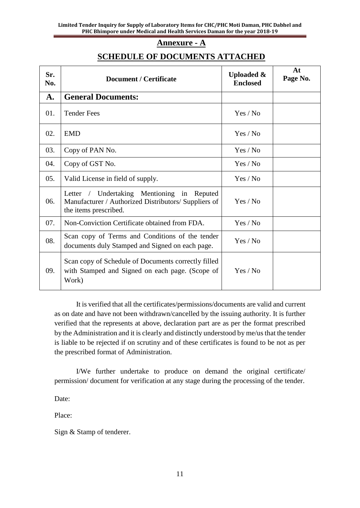#### **Annexure - A**

#### **SCHEDULE OF DOCUMENTS ATTACHED**

| Sr.<br>No. | <b>Document / Certificate</b>                                                                                                  | <b>Uploaded &amp;</b><br><b>Enclosed</b> | At<br>Page No. |
|------------|--------------------------------------------------------------------------------------------------------------------------------|------------------------------------------|----------------|
| A.         | <b>General Documents:</b>                                                                                                      |                                          |                |
| 01.        | <b>Tender Fees</b>                                                                                                             | Yes / No                                 |                |
| 02.        | <b>EMD</b>                                                                                                                     | Yes / No                                 |                |
| 03.        | Copy of PAN No.                                                                                                                | Yes / No                                 |                |
| 04.        | Copy of GST No.                                                                                                                | Yes / No                                 |                |
| 05.        | Valid License in field of supply.                                                                                              | Yes / No                                 |                |
| 06.        | Letter / Undertaking Mentioning in<br>Reputed<br>Manufacturer / Authorized Distributors/ Suppliers of<br>the items prescribed. | Yes / No                                 |                |
| 07.        | Non-Conviction Certificate obtained from FDA.                                                                                  | Yes / No                                 |                |
| 08.        | Scan copy of Terms and Conditions of the tender<br>documents duly Stamped and Signed on each page.                             | Yes / No                                 |                |
| 09.        | Scan copy of Schedule of Documents correctly filled<br>with Stamped and Signed on each page. (Scope of<br>Work)                | Yes / No                                 |                |

It is verified that all the certificates/permissions/documents are valid and current as on date and have not been withdrawn/cancelled by the issuing authority. It is further verified that the represents at above, declaration part are as per the format prescribed by the Administration and it is clearly and distinctly understood by me/us that the tender is liable to be rejected if on scrutiny and of these certificates is found to be not as per the prescribed format of Administration.

I/We further undertake to produce on demand the original certificate/ permission/ document for verification at any stage during the processing of the tender.

Date:

Place:

Sign & Stamp of tenderer.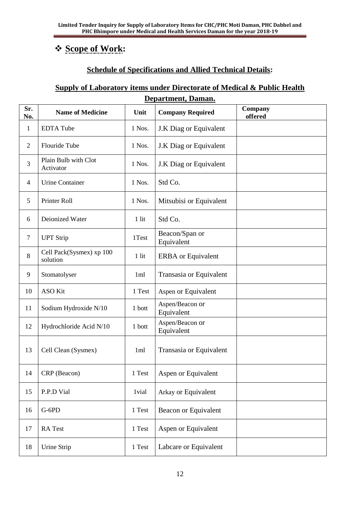## ❖ **Scope of Work:**

#### **Schedule of Specifications and Allied Technical Details:**

### **Supply of Laboratory items under Directorate of Medical & Public Health Department, Daman.**

| Sr.<br>No.     | <b>Name of Medicine</b>              | Unit            | <b>Company Required</b>       | Company<br>offered |
|----------------|--------------------------------------|-----------------|-------------------------------|--------------------|
| $\mathbf{1}$   | <b>EDTA Tube</b>                     | 1 Nos.          | J.K Diag or Equivalent        |                    |
| $\overline{2}$ | Flouride Tube                        | 1 Nos.          | J.K Diag or Equivalent        |                    |
| 3              | Plain Bulb with Clot<br>Activator    | 1 Nos.          | J.K Diag or Equivalent        |                    |
| $\overline{4}$ | <b>Urine Container</b>               | 1 Nos.          | Std Co.                       |                    |
| 5              | Printer Roll                         | 1 Nos.          | Mitsubisi or Equivalent       |                    |
| 6              | Deionized Water                      | $1$ lit         | Std Co.                       |                    |
| $\tau$         | <b>UPT Strip</b>                     | 1Test           | Beacon/Span or<br>Equivalent  |                    |
| 8              | Cell Pack(Sysmex) xp 100<br>solution | $1$ lit         | <b>ERBA</b> or Equivalent     |                    |
| 9              | Stomatolyser                         | 1 <sub>ml</sub> | Transasia or Equivalent       |                    |
| 10             | <b>ASO Kit</b>                       | 1 Test          | Aspen or Equivalent           |                    |
| 11             | Sodium Hydroxide N/10                | 1 bott          | Aspen/Beacon or<br>Equivalent |                    |
| 12             | Hydrochloride Acid N/10              | 1 bott          | Aspen/Beacon or<br>Equivalent |                    |
| 13             | Cell Clean (Sysmex)                  | 1 <sub>ml</sub> | Transasia or Equivalent       |                    |
| 14             | CRP (Beacon)                         | 1 Test          | Aspen or Equivalent           |                    |
| 15             | P.P.D Vial                           | 1vial           | Arkay or Equivalent           |                    |
| 16             | G-6PD                                | 1 Test          | Beacon or Equivalent          |                    |
| 17             | RA Test                              | 1 Test          | Aspen or Equivalent           |                    |
| 18             | Urine Strip                          | 1 Test          | Labcare or Equivalent         |                    |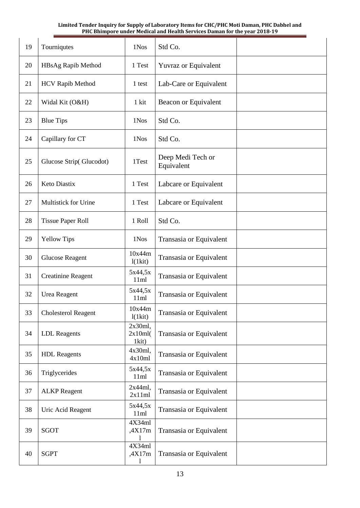| 19 | Tourniqutes                 | 1Nos                           | Std Co.                         |
|----|-----------------------------|--------------------------------|---------------------------------|
| 20 | HBsAg Rapib Method          | 1 Test                         | <b>Yuvraz or Equivalent</b>     |
| 21 | <b>HCV Rapib Method</b>     | 1 test                         | Lab-Care or Equivalent          |
| 22 | Widal Kit (O&H)             | 1 kit                          | Beacon or Equivalent            |
| 23 | <b>Blue Tips</b>            | 1Nos                           | Std Co.                         |
| 24 | Capillary for CT            | 1Nos                           | Std Co.                         |
| 25 | Glucose Strip(Glucodot)     | 1Test                          | Deep Medi Tech or<br>Equivalent |
| 26 | Keto Diastix                | 1 Test                         | Labcare or Equivalent           |
| 27 | <b>Multistick for Urine</b> | 1 Test                         | Labcare or Equivalent           |
| 28 | <b>Tissue Paper Roll</b>    | 1 Roll                         | Std Co.                         |
| 29 | <b>Yellow Tips</b>          | 1Nos                           | Transasia or Equivalent         |
| 30 | <b>Glucose Reagent</b>      | 10x44m<br>1(1kit)              | Transasia or Equivalent         |
| 31 | <b>Creatinine Reagent</b>   | 5x44,5x<br>11ml                | Transasia or Equivalent         |
| 32 | Urea Reagent                | 5x44,5x<br>11ml                | Transasia or Equivalent         |
| 33 | <b>Cholesterol Reagent</b>  | 10x44m<br>1(1kit)              | Transasia or Equivalent         |
| 34 | <b>LDL</b> Reagents         | $2x30ml$ ,<br>2x10ml(<br>1kit) | Transasia or Equivalent         |
| 35 | <b>HDL</b> Reagents         | 4x30ml,<br>4x10ml              | Transasia or Equivalent         |
| 36 | Triglycerides               | 5x44,5x<br>11ml                | Transasia or Equivalent         |
| 37 | <b>ALKP</b> Reagent         | 2x44ml,<br>2x11ml              | Transasia or Equivalent         |
| 38 | Uric Acid Reagent           | 5x44,5x<br>11ml                | Transasia or Equivalent         |
| 39 | <b>SGOT</b>                 | 4X34ml<br>,4X17m               | Transasia or Equivalent         |
| 40 | <b>SGPT</b>                 | 4X34ml<br>,4X17m<br>1          | Transasia or Equivalent         |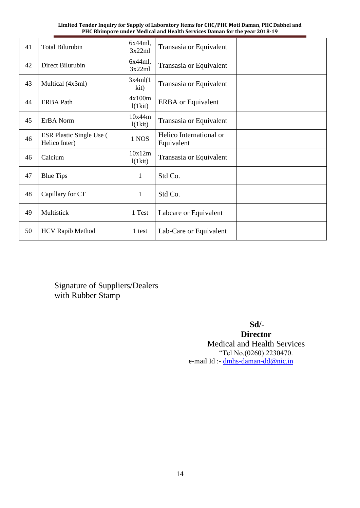| Limited Tender Inquiry for Supply of Laboratory Items for CHC/PHC Moti Daman, PHC Dabhel and |
|----------------------------------------------------------------------------------------------|
| <b>PHC Bhimpore under Medical and Health Services Daman for the year 2018-19</b>             |

| 41 | <b>Total Bilurubin</b>                           | $6x44ml$ ,<br>3x22ml | Transasia or Equivalent               |  |
|----|--------------------------------------------------|----------------------|---------------------------------------|--|
| 42 | Direct Bilurubin                                 | 6x44ml,<br>3x22ml    | Transasia or Equivalent               |  |
| 43 | Multical (4x3ml)                                 | 3x4ml(1)<br>kit)     | Transasia or Equivalent               |  |
| 44 | <b>ERBA Path</b>                                 | 4x100m<br>l(lkit)    | <b>ERBA</b> or Equivalent             |  |
| 45 | ErBA Norm                                        | 10x44m<br>1(1kit)    | Transasia or Equivalent               |  |
| 46 | <b>ESR Plastic Single Use (</b><br>Helico Inter) | 1 NOS                | Helico International or<br>Equivalent |  |
| 46 | Calcium                                          | 10x12m<br>1(1kit)    | Transasia or Equivalent               |  |
| 47 | <b>Blue Tips</b>                                 | 1                    | Std Co.                               |  |
| 48 | Capillary for CT                                 | $\mathbf{1}$         | Std Co.                               |  |
| 49 | Multistick                                       | 1 Test               | Labcare or Equivalent                 |  |
| 50 | <b>HCV Rapib Method</b>                          | 1 test               | Lab-Care or Equivalent                |  |

Signature of Suppliers/Dealers with Rubber Stamp

 **Sd/-**

**Director** Medical and Health Services "Tel No.(0260) 2230470. e-mail Id :- [dmhs-daman-dd@nic.in](mailto:dmhs-daman-dd@nic.in)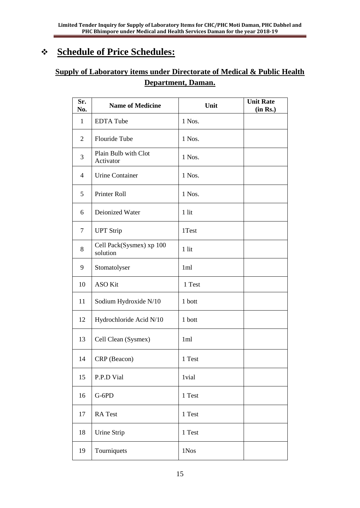# ❖ **Schedule of Price Schedules:**

## **Supply of Laboratory items under Directorate of Medical & Public Health Department, Daman.**

| Sr.<br>No.     | <b>Name of Medicine</b>              | Unit   | <b>Unit Rate</b><br>(in Rs.) |
|----------------|--------------------------------------|--------|------------------------------|
| $\mathbf{1}$   | <b>EDTA</b> Tube                     | 1 Nos. |                              |
| $\overline{2}$ | Flouride Tube                        | 1 Nos. |                              |
| 3              | Plain Bulb with Clot<br>Activator    | 1 Nos. |                              |
| $\overline{4}$ | <b>Urine Container</b>               | 1 Nos. |                              |
| 5              | Printer Roll                         | 1 Nos. |                              |
| 6              | Deionized Water                      | 1 lit  |                              |
| $\tau$         | <b>UPT Strip</b>                     | 1Test  |                              |
| 8              | Cell Pack(Sysmex) xp 100<br>solution | 1 lit  |                              |
| 9              | Stomatolyser                         | 1ml    |                              |
| 10             | <b>ASO Kit</b>                       | 1 Test |                              |
| 11             | Sodium Hydroxide N/10                | 1 bott |                              |
| 12             | Hydrochloride Acid N/10              | 1 bott |                              |
| 13             | Cell Clean (Sysmex)                  | 1ml    |                              |
| 14             | CRP (Beacon)                         | 1 Test |                              |
| 15             | P.P.D Vial                           | 1vial  |                              |
| 16             | $G-6PD$                              | 1 Test |                              |
| 17             | RA Test                              | 1 Test |                              |
| 18             | Urine Strip                          | 1 Test |                              |
| 19             | Tourniquets                          | 1Nos   |                              |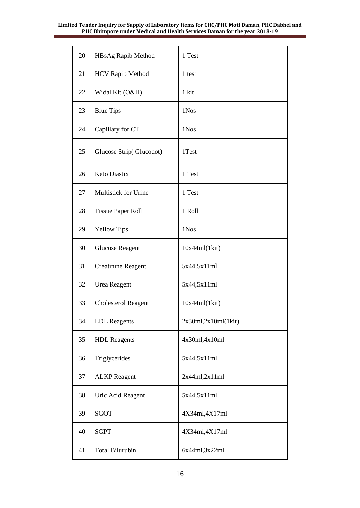| 20 | HBsAg Rapib Method          | 1 Test               |  |
|----|-----------------------------|----------------------|--|
| 21 | <b>HCV Rapib Method</b>     | 1 test               |  |
| 22 | Widal Kit (O&H)             | 1 kit                |  |
| 23 | <b>Blue Tips</b>            | 1Nos                 |  |
| 24 | Capillary for CT            | 1Nos                 |  |
| 25 | Glucose Strip(Glucodot)     | 1Test                |  |
| 26 | <b>Keto Diastix</b>         | 1 Test               |  |
| 27 | <b>Multistick for Urine</b> | 1 Test               |  |
| 28 | <b>Tissue Paper Roll</b>    | 1 Roll               |  |
| 29 | <b>Yellow Tips</b>          | 1Nos                 |  |
| 30 | <b>Glucose Reagent</b>      | 10x44ml(lkit)        |  |
| 31 | <b>Creatinine Reagent</b>   | 5x44,5x11ml          |  |
| 32 | Urea Reagent                | 5x44,5x11ml          |  |
| 33 | <b>Cholesterol Reagent</b>  | 10x44ml(lkit)        |  |
| 34 | <b>LDL</b> Reagents         | 2x30ml, 2x10ml(1kit) |  |
| 35 | <b>HDL</b> Reagents         | 4x30ml,4x10ml        |  |
| 36 | Triglycerides               | 5x44,5x11ml          |  |
| 37 | <b>ALKP</b> Reagent         | 2x44ml, 2x11ml       |  |
| 38 | Uric Acid Reagent           | 5x44,5x11ml          |  |
| 39 | SGOT                        | 4X34ml, 4X17ml       |  |
| 40 | <b>SGPT</b>                 | 4X34ml, 4X17ml       |  |
| 41 | <b>Total Bilurubin</b>      | 6x44ml, 3x22ml       |  |